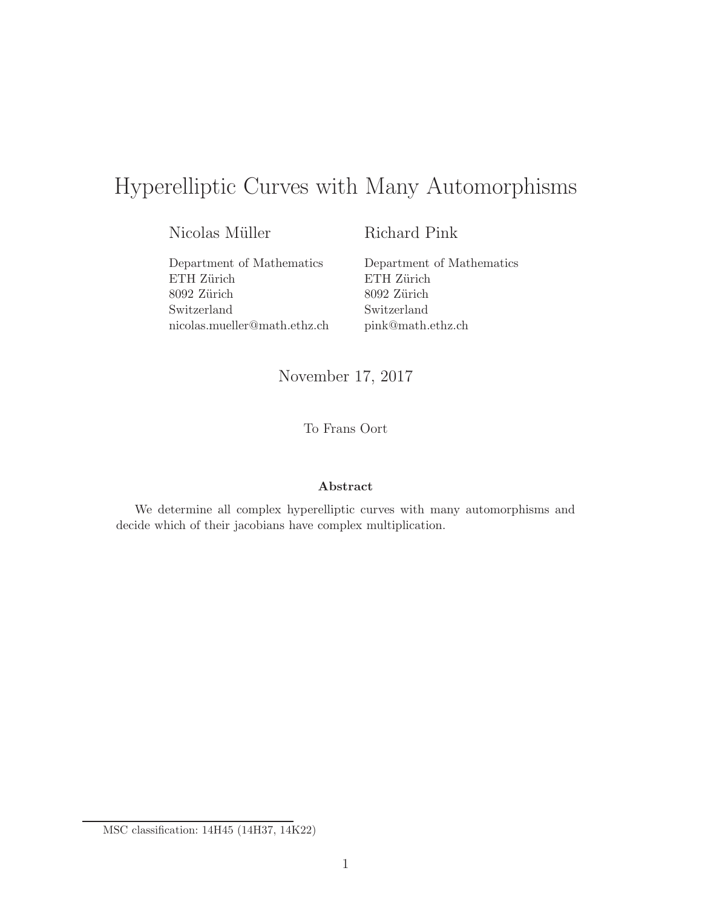# Hyperelliptic Curves with Many Automorphisms

Nicolas Müller

Richard Pink

Department of Mathematics ETH Zürich 8092 Zürich Switzerland nicolas.mueller@math.ethz.ch

Department of Mathematics ETH Zürich 8092 Zürich Switzerland pink@math.ethz.ch

November 17, 2017

To Frans Oort

#### Abstract

We determine all complex hyperelliptic curves with many automorphisms and decide which of their jacobians have complex multiplication.

MSC classification: 14H45 (14H37, 14K22)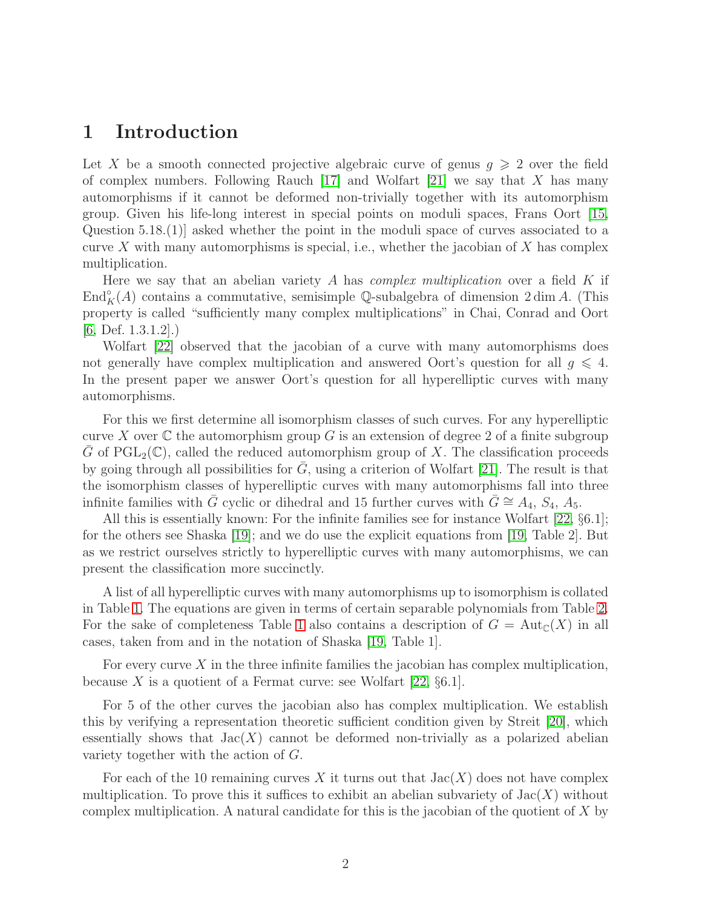### 1 Introduction

Let X be a smooth connected projective algebraic curve of genus  $g \geqslant 2$  over the field of complex numbers. Following Rauch  $[17]$  and Wolfart  $[21]$  we say that X has many automorphisms if it cannot be deformed non-trivially together with its automorphism group. Given his life-long interest in special points on moduli spaces, Frans Oort [\[15,](#page-16-2) Question 5.18.(1)] asked whether the point in the moduli space of curves associated to a curve X with many automorphisms is special, i.e., whether the jacobian of X has complex multiplication.

Here we say that an abelian variety A has *complex multiplication* over a field K if  $\text{End}_{K}^{\circ}(A)$  contains a commutative, semisimple Q-subalgebra of dimension 2 dim A. (This property is called "sufficiently many complex multiplications" in Chai, Conrad and Oort  $[6,$  Def.  $1.3.1.2]$ .

Wolfart [\[22\]](#page-16-3) observed that the jacobian of a curve with many automorphisms does not generally have complex multiplication and answered Oort's question for all  $g \leq 4$ . In the present paper we answer Oort's question for all hyperelliptic curves with many automorphisms.

For this we first determine all isomorphism classes of such curves. For any hyperelliptic curve X over  $\mathbb C$  the automorphism group G is an extension of degree 2 of a finite subgroup G of  $\text{PGL}_2(\mathbb{C})$ , called the reduced automorphism group of X. The classification proceeds by going through all possibilities for  $G$ , using a criterion of Wolfart [\[21\]](#page-16-1). The result is that the isomorphism classes of hyperelliptic curves with many automorphisms fall into three infinite families with  $\bar{G}$  cyclic or dihedral and 15 further curves with  $\bar{G} \cong A_4$ ,  $S_4$ ,  $A_5$ .

All this is essentially known: For the infinite families see for instance Wolfart [\[22,](#page-16-3) §6.1]; for the others see Shaska [\[19\]](#page-16-4); and we do use the explicit equations from [\[19,](#page-16-4) Table 2]. But as we restrict ourselves strictly to hyperelliptic curves with many automorphisms, we can present the classification more succinctly.

A list of all hyperelliptic curves with many automorphisms up to isomorphism is collated in Table [1.](#page-2-0) The equations are given in terms of certain separable polynomials from Table [2.](#page-3-0) For the sake of completeness Table [1](#page-2-0) also contains a description of  $G = Aut_{\mathbb{C}}(X)$  in all cases, taken from and in the notation of Shaska [\[19,](#page-16-4) Table 1].

For every curve X in the three infinite families the jacobian has complex multiplication, because X is a quotient of a Fermat curve: see Wolfart [\[22,](#page-16-3)  $\S 6.1$ ].

For 5 of the other curves the jacobian also has complex multiplication. We establish this by verifying a representation theoretic sufficient condition given by Streit [\[20\]](#page-16-5), which essentially shows that  $Jac(X)$  cannot be deformed non-trivially as a polarized abelian variety together with the action of G.

For each of the 10 remaining curves X it turns out that  $Jac(X)$  does not have complex multiplication. To prove this it suffices to exhibit an abelian subvariety of  $Jac(X)$  without complex multiplication. A natural candidate for this is the jacobian of the quotient of X by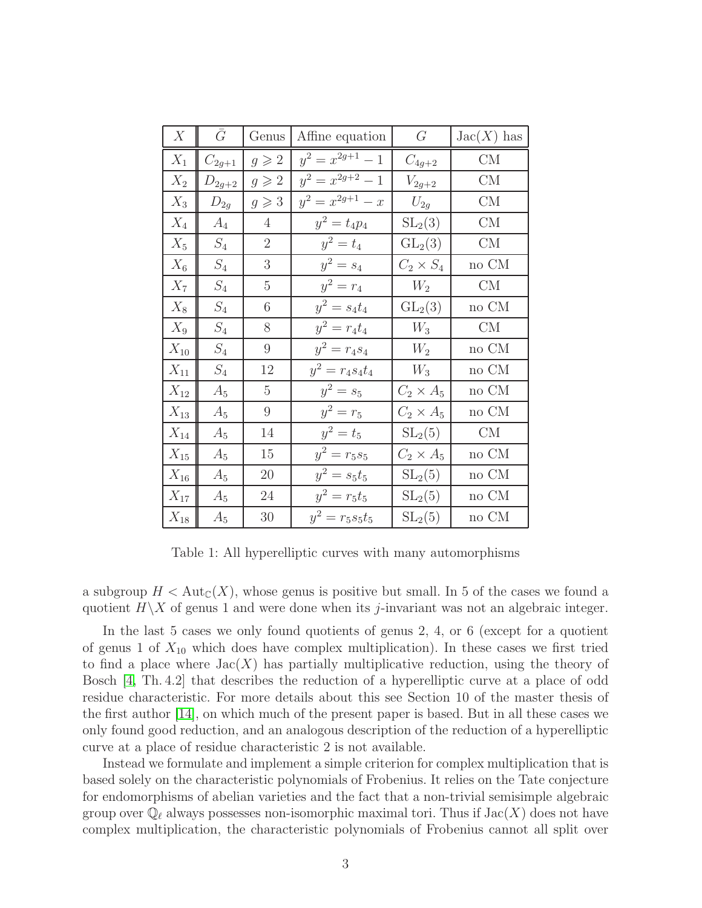| X               | $\bar{G}$       | Genus           | Affine equation      | $G_{-}$          | $Jac(X)$ has |
|-----------------|-----------------|-----------------|----------------------|------------------|--------------|
| $X_1$           | $C_{2g+1}$      | $g \geqslant 2$ | $y^2 = x^{2g+1} - 1$ | $C_{4g+2}$       | CM           |
| $\mathcal{X}_2$ | $D_{2g+2}$      | $g \geqslant 2$ | $y^2 = x^{2g+2} - 1$ | $V_{2g+2}$       | CM           |
| $X_3$           | $D_{2g}$        | $g \geqslant 3$ | $y^2 = x^{2g+1} - x$ | $U_{2g}$         | CM           |
| $X_4$           | $A_4$           | $\overline{4}$  | $y^2 = t_4 p_4$      | $SL_2(3)$        | CM           |
| $X_5$           | $S_4$           | $\overline{2}$  | $y^2 = t_4$          | $GL_2(3)$        | CM           |
| $X_6$           | $S_4$           | 3               | $y^2 = s_4$          | $C_2 \times S_4$ | no CM        |
| $X_7$           | $\mathcal{S}_4$ | $\overline{5}$  | $y^2 = r_4$          | $W_2$            | CM           |
| $X_8$           | $S_4$           | 6               | $y^2 = s_4 t_4$      | $GL_2(3)$        | no CM        |
| $X_9$           | $S_4$           | 8               | $y^2 = r_4 t_4$      | $W_3$            | CM           |
| $X_{10}$        | $\mathcal{S}_4$ | $\overline{9}$  | $y^2 = r_4s_4$       | $W_2$            | no CM        |
| $X_{11}$        | $\mathcal{S}_4$ | 12              | $y^2 = r_4s_4t_4$    | $W_3$            | no CM        |
| $X_{12}$        | $A_5$           | $\overline{5}$  | $y^2 = s_5$          | $C_2 \times A_5$ | no CM        |
| $X_{13}$        | $A_5$           | 9               | $y^2 = r_5$          | $C_2 \times A_5$ | no CM        |
| $X_{14}$        | $A_5$           | 14              | $y^2 = t_5$          | $SL_2(5)$        | CM           |
| $X_{15}$        | $A_5$           | 15              | $y^2 = r_5 s_5$      | $C_2 \times A_5$ | $\rm no~CM$  |
| $X_{16}$        | $A_5$           | 20              | $y^2 = s_5t_5$       | $SL_2(5)$        | no CM        |
| $X_{17}$        | $A_5$           | 24              | $y^2 = r_5 t_5$      | $SL_2(5)$        | $\rm no~CM$  |
| $X_{18}$        | $A_5$           | 30              | $y^2 = r_5s_5t_5$    | $SL_2(5)$        | no CM        |

<span id="page-2-0"></span>Table 1: All hyperelliptic curves with many automorphisms

a subgroup  $H < \text{Aut}_{\mathbb{C}}(X)$ , whose genus is positive but small. In 5 of the cases we found a quotient  $H\backslash X$  of genus 1 and were done when its *j*-invariant was not an algebraic integer.

In the last 5 cases we only found quotients of genus 2, 4, or 6 (except for a quotient of genus 1 of  $X_{10}$  which does have complex multiplication). In these cases we first tried to find a place where  $Jac(X)$  has partially multiplicative reduction, using the theory of Bosch [\[4,](#page-15-1) Th. 4.2] that describes the reduction of a hyperelliptic curve at a place of odd residue characteristic. For more details about this see Section 10 of the master thesis of the first author [\[14\]](#page-15-2), on which much of the present paper is based. But in all these cases we only found good reduction, and an analogous description of the reduction of a hyperelliptic curve at a place of residue characteristic 2 is not available.

Instead we formulate and implement a simple criterion for complex multiplication that is based solely on the characteristic polynomials of Frobenius. It relies on the Tate conjecture for endomorphisms of abelian varieties and the fact that a non-trivial semisimple algebraic group over  $\mathbb{Q}_{\ell}$  always possesses non-isomorphic maximal tori. Thus if  $Jac(X)$  does not have complex multiplication, the characteristic polynomials of Frobenius cannot all split over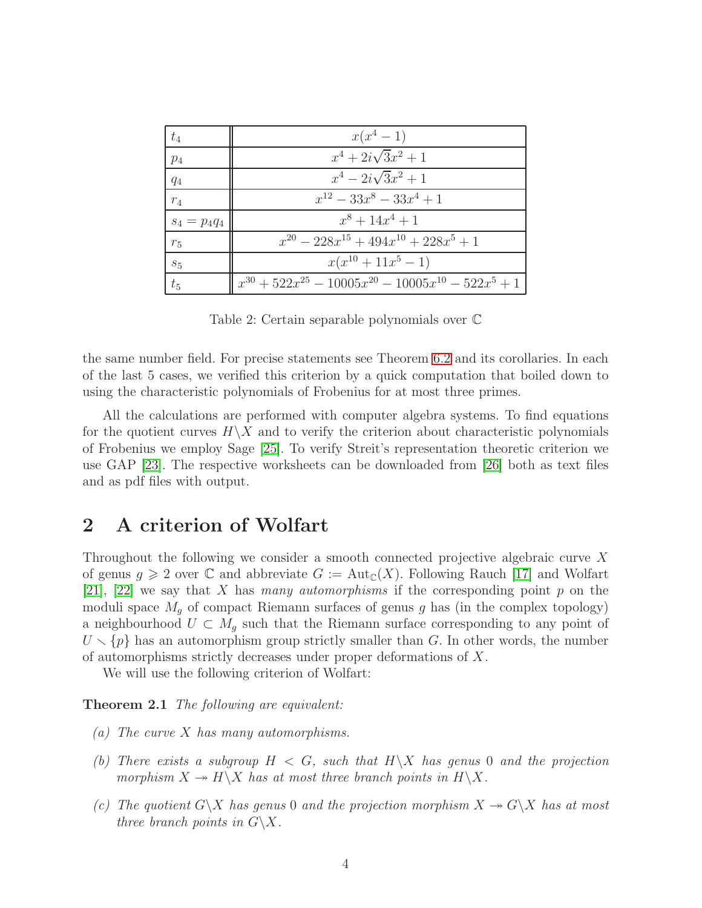| $t_4$           | $x(x^4-1)$                                                         |
|-----------------|--------------------------------------------------------------------|
| $p_4$           | $x^4 + 2i\sqrt{3}x^2 + 1$                                          |
| $q_4$           | $x^4 - 2i\sqrt{3}x^2 + 1$                                          |
| $r_4$           | $x^{12} - 33x^8 - 33x^4 + 1$                                       |
| $s_4 = p_4 q_4$ | $x^8 + 14x^4 + 1$                                                  |
| $r_5$           | $x^{20} - 228x^{15} + 494x^{10} + 228x^{5} + 1$                    |
| $s_5$           | $x(x^{10}+11x^5-1)$                                                |
| $t_{5}$         | $\int x^{30} + 522x^{25} - 10005x^{20} - 10005x^{10} - 522x^5 + 1$ |

<span id="page-3-0"></span>Table 2: Certain separable polynomials over C

the same number field. For precise statements see Theorem [6.2](#page-11-0) and its corollaries. In each of the last 5 cases, we verified this criterion by a quick computation that boiled down to using the characteristic polynomials of Frobenius for at most three primes.

All the calculations are performed with computer algebra systems. To find equations for the quotient curves  $H\backslash X$  and to verify the criterion about characteristic polynomials of Frobenius we employ Sage [\[25\]](#page-16-6). To verify Streit's representation theoretic criterion we use GAP [\[23\]](#page-16-7). The respective worksheets can be downloaded from [\[26\]](#page-16-8) both as text files and as pdf files with output.

## 2 A criterion of Wolfart

Throughout the following we consider a smooth connected projective algebraic curve X of genus  $g \geqslant 2$  over C and abbreviate  $G := Aut_{\mathbb{C}}(X)$ . Following Rauch [\[17\]](#page-16-0) and Wolfart  $[21]$ ,  $[22]$  we say that X has many automorphisms if the corresponding point p on the moduli space  $M<sub>q</sub>$  of compact Riemann surfaces of genus g has (in the complex topology) a neighbourhood  $U \subset M_q$  such that the Riemann surface corresponding to any point of  $U \setminus \{p\}$  has an automorphism group strictly smaller than G. In other words, the number of automorphisms strictly decreases under proper deformations of X.

<span id="page-3-1"></span>We will use the following criterion of Wolfart:

Theorem 2.1 The following are equivalent:

- (a) The curve X has many automorphisms.
- (b) There exists a subgroup  $H < G$ , such that  $H \backslash X$  has genus 0 and the projection morphism  $X \to H\backslash X$  has at most three branch points in  $H\backslash X$ .
- (c) The quotient  $G\backslash X$  has genus 0 and the projection morphism  $X \twoheadrightarrow G\backslash X$  has at most three branch points in  $G\backslash X$ .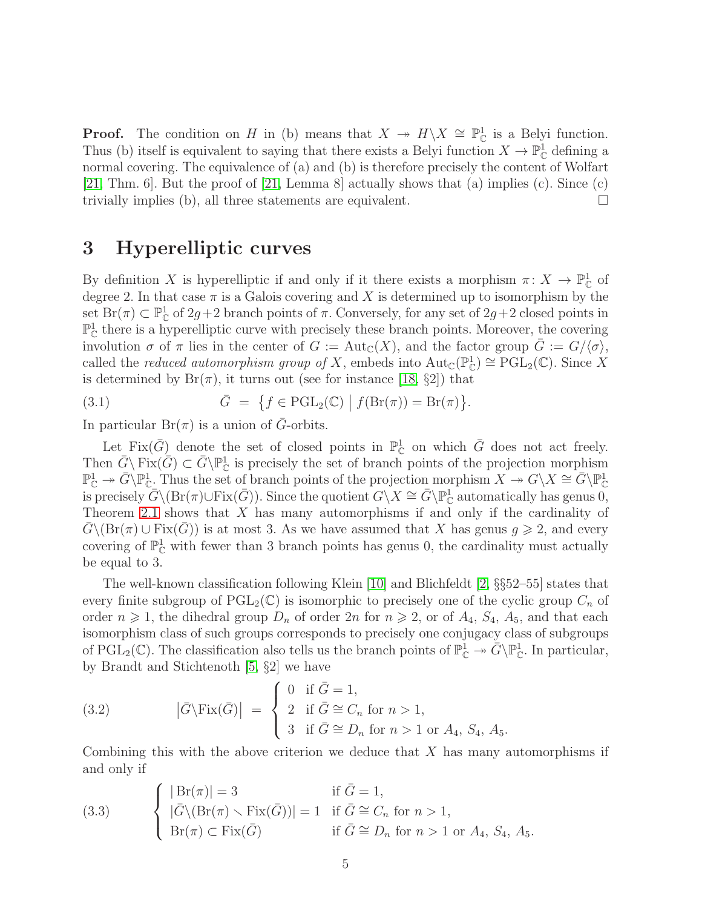**Proof.** The condition on H in (b) means that  $X \to H\ X \cong \mathbb{P}^1_{\mathbb{C}}$  is a Belyi function. Thus (b) itself is equivalent to saying that there exists a Belyi function  $X \to \mathbb{P}^1_{\mathbb{C}}$  defining a normal covering. The equivalence of (a) and (b) is therefore precisely the content of Wolfart [\[21,](#page-16-1) Thm. 6]. But the proof of  $[21, \text{Lemma 8}]$  actually shows that  $(a)$  implies  $(c)$ . Since  $(c)$ trivially implies (b), all three statements are equivalent.  $\Box$ 

### 3 Hyperelliptic curves

By definition X is hyperelliptic if and only if it there exists a morphism  $\pi: X \to \mathbb{P}^1_{\mathbb{C}}$  of degree 2. In that case  $\pi$  is a Galois covering and X is determined up to isomorphism by the set  $\text{Br}(\pi) \subset \mathbb{P}^1_{\mathbb{C}}$  of  $2g+2$  branch points of  $\pi$ . Conversely, for any set of  $2g+2$  closed points in  $\mathbb{P}^1_{\mathbb{C}}$  there is a hyperelliptic curve with precisely these branch points. Moreover, the covering involution  $\sigma$  of  $\pi$  lies in the center of  $G := Aut_{\mathbb{C}}(X)$ , and the factor group  $G := G/\langle \sigma \rangle$ , called the *reduced automorphism group of* X, embeds into  $Aut_{\mathbb{C}}(\mathbb{P}^1_{\mathbb{C}}) \cong \mathrm{PGL}_2(\mathbb{C})$ . Since X is determined by  $Br(\pi)$ , it turns out (see for instance [\[18,](#page-16-9) §2]) that

(3.1) 
$$
\bar{G} = \{ f \in \mathrm{PGL}_2(\mathbb{C}) \mid f(\mathrm{Br}(\pi)) = \mathrm{Br}(\pi) \}.
$$

In particular  $Br(\pi)$  is a union of G-orbits.

Let Fix $(\bar{G})$  denote the set of closed points in  $\mathbb{P}^1_{\mathbb{C}}$  on which  $\bar{G}$  does not act freely. Then  $\bar{G} \setminus \text{Fix}(\bar{G}) \subset \bar{G} \setminus \mathbb{P}^1_{\mathbb{C}}$  is precisely the set of branch points of the projection morphism  $\mathbb{P}^1_{\mathbb{C}} \twoheadrightarrow \overline{G} \backslash \mathbb{P}^1_{\mathbb{C}}$ . Thus the set of branch points of the projection morphism  $X \twoheadrightarrow G \backslash X \cong \overline{G} \backslash \mathbb{P}^1_{\mathbb{C}}$ is precisely  $\overline{G}\setminus(\text{Br}(\pi)\cup\text{Fix}(\overline{G}))$ . Since the quotient  $G\setminus X\cong \overline{G}\setminus\mathbb{P}^1_{\mathbb{C}}$  automatically has genus 0, Theorem [2.1](#page-3-1) shows that X has many automorphisms if and only if the cardinality of  $\overline{G}\setminus(\text{Br}(\pi)\cup\text{Fix}(\overline{G}))$  is at most 3. As we have assumed that X has genus  $g\geqslant 2$ , and every covering of  $\mathbb{P}^1_{\mathbb{C}}$  with fewer than 3 branch points has genus 0, the cardinality must actually be equal to 3.

The well-known classification following Klein [\[10\]](#page-15-3) and Blichfeldt [\[2,](#page-15-4) §§52–55] states that every finite subgroup of  $PGL_2(\mathbb{C})$  is isomorphic to precisely one of the cyclic group  $C_n$  of order  $n \geq 1$ , the dihedral group  $D_n$  of order  $2n$  for  $n \geq 2$ , or of  $A_4$ ,  $S_4$ ,  $A_5$ , and that each isomorphism class of such groups corresponds to precisely one conjugacy class of subgroups of  $PGL_2(\mathbb{C})$ . The classification also tells us the branch points of  $\mathbb{P}^1_{\mathbb{C}} \to \overline{G} \backslash \mathbb{P}^1_{\mathbb{C}}$ . In particular, by Brandt and Stichtenoth [\[5,](#page-15-5) §2] we have

(3.2) 
$$
|\bar{G}\rangle \text{Fix}(\bar{G})| = \begin{cases} 0 & \text{if } \bar{G} = 1, \\ 2 & \text{if } \bar{G} \cong C_n \text{ for } n > 1, \\ 3 & \text{if } \bar{G} \cong D_n \text{ for } n > 1 \text{ or } A_4, S_4, A_5. \end{cases}
$$

Combining this with the above criterion we deduce that  $X$  has many automorphisms if and only if

<span id="page-4-0"></span>(3.3) 
$$
\begin{cases} |\operatorname{Br}(\pi)| = 3 & \text{if } \overline{G} = 1, \\ |\overline{G} \setminus (\operatorname{Br}(\pi) \setminus \operatorname{Fix}(\overline{G}))| = 1 & \text{if } \overline{G} \cong C_n \text{ for } n > 1, \\ \operatorname{Br}(\pi) \subset \operatorname{Fix}(\overline{G}) & \text{if } \overline{G} \cong D_n \text{ for } n > 1 \text{ or } A_4, S_4, A_5. \end{cases}
$$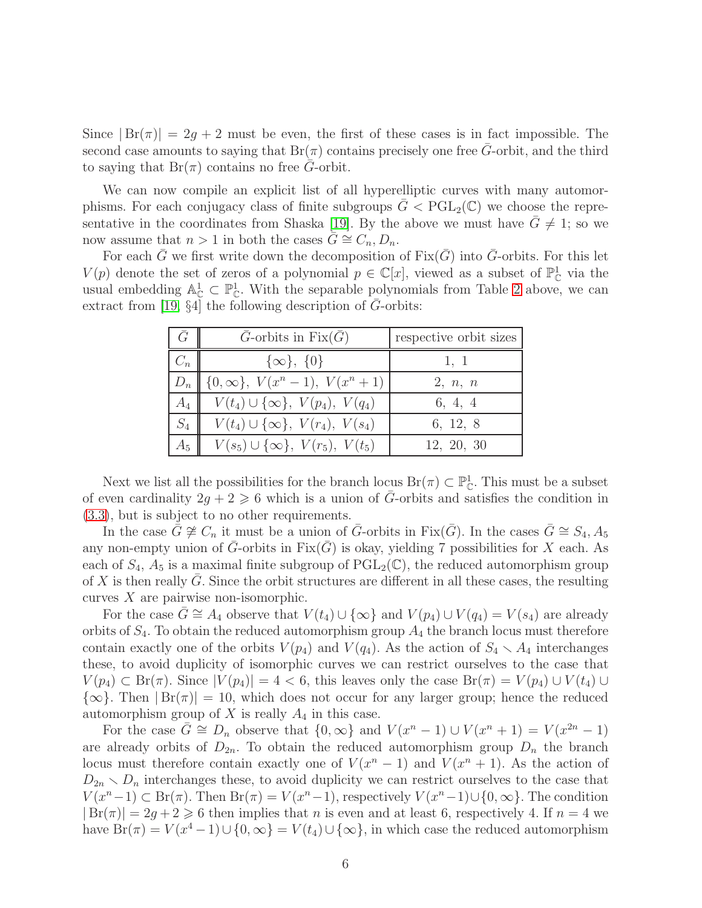Since  $|Br(\pi)| = 2g + 2$  must be even, the first of these cases is in fact impossible. The second case amounts to saying that  $Br(\pi)$  contains precisely one free  $\overline{G}$ -orbit, and the third to saying that  $Br(\pi)$  contains no free G-orbit.

We can now compile an explicit list of all hyperelliptic curves with many automorphisms. For each conjugacy class of finite subgroups  $G < PGL_2(\mathbb{C})$  we choose the repre-sentative in the coordinates from Shaska [\[19\]](#page-16-4). By the above we must have  $\bar{G} \neq 1$ ; so we now assume that  $n > 1$  in both the cases  $G \cong C_n, D_n$ .

For each G we first write down the decomposition of  $Fix(G)$  into G-orbits. For this let  $V(p)$  denote the set of zeros of a polynomial  $p \in \mathbb{C}[x]$ , viewed as a subset of  $\mathbb{P}^1_{\mathbb{C}}$  via the usual embedding  $\mathbb{A}_{\mathbb{C}}^1 \subset \mathbb{P}_{\mathbb{C}}^1$ . With the separable polynomials from Table [2](#page-3-0) above, we can extract from [\[19,](#page-16-4)  $\S4$ ] the following description of G-orbits:

| $\frac{7}{4}$ | $\overline{G}$ -orbits in Fix $(\overline{G})$ | respective orbit sizes |
|---------------|------------------------------------------------|------------------------|
| $C_n$         | $\{\infty\},\ \{0\}$                           | 1, 1                   |
| $D_n$         | $\  \{0,\infty\}, V(x^{n}-1), V(x^{n}+1) \ $   | 2, n, n                |
| $A_4$         | $V(t_4) \cup {\infty}, V(p_4), V(q_4)$         | 6, 4, 4                |
| $S_4$         | $V(t_4) \cup \{\infty\}, V(r_4), V(s_4)$       | 6, 12, 8               |
| $A_5$         | $V(s_5) \cup \{\infty\}, V(r_5), V(t_5)$       | 12, 20, 30             |

Next we list all the possibilities for the branch locus  $\text{Br}(\pi) \subset \mathbb{P}^1_{\mathbb{C}}$ . This must be a subset of even cardinality  $2g + 2 \ge 6$  which is a union of  $\overline{G}$ -orbits and satisfies the condition in [\(3.3\)](#page-4-0), but is subject to no other requirements.

In the case  $\bar{G} \not\cong C_n$  it must be a union of  $\bar{G}$ -orbits in Fix( $\bar{G}$ ). In the cases  $\bar{G} \cong S_4, A_5$ any non-empty union of G-orbits in  $Fix(G)$  is okay, yielding 7 possibilities for X each. As each of  $S_4$ ,  $A_5$  is a maximal finite subgroup of  $\text{PGL}_2(\mathbb{C})$ , the reduced automorphism group of  $X$  is then really  $G$ . Since the orbit structures are different in all these cases, the resulting curves  $X$  are pairwise non-isomorphic.

For the case  $G \cong A_4$  observe that  $V(t_4) \cup \{\infty\}$  and  $V(p_4) \cup V(q_4) = V(s_4)$  are already orbits of  $S_4$ . To obtain the reduced automorphism group  $A_4$  the branch locus must therefore contain exactly one of the orbits  $V(p_4)$  and  $V(q_4)$ . As the action of  $S_4 \setminus A_4$  interchanges these, to avoid duplicity of isomorphic curves we can restrict ourselves to the case that  $V(p_4) \subset \text{Br}(\pi)$ . Since  $|V(p_4)| = 4 < 6$ , this leaves only the case  $\text{Br}(\pi) = V(p_4) \cup V(t_4) \cup$  $\{\infty\}$ . Then  $|Br(\pi)| = 10$ , which does not occur for any larger group; hence the reduced automorphism group of  $X$  is really  $A_4$  in this case.

For the case  $\bar{G} \cong D_n$  observe that  $\{0, \infty\}$  and  $V(x^n - 1) \cup V(x^n + 1) = V(x^{2n} - 1)$ are already orbits of  $D_{2n}$ . To obtain the reduced automorphism group  $D_n$  the branch locus must therefore contain exactly one of  $V(x^{n} - 1)$  and  $V(x^{n} + 1)$ . As the action of  $D_{2n} \setminus D_n$  interchanges these, to avoid duplicity we can restrict ourselves to the case that  $V(x^{n}-1) \subset \text{Br}(\pi)$ . Then  $\text{Br}(\pi) = V(x^{n}-1)$ , respectively  $V(x^{n}-1) \cup \{0, \infty\}$ . The condition  $|Br(\pi)| = 2g + 2 \ge 6$  then implies that n is even and at least 6, respectively 4. If  $n = 4$  we have  $Br(\pi) = V(x^4 - 1) \cup \{0, \infty\} = V(t_4) \cup \{\infty\}$ , in which case the reduced automorphism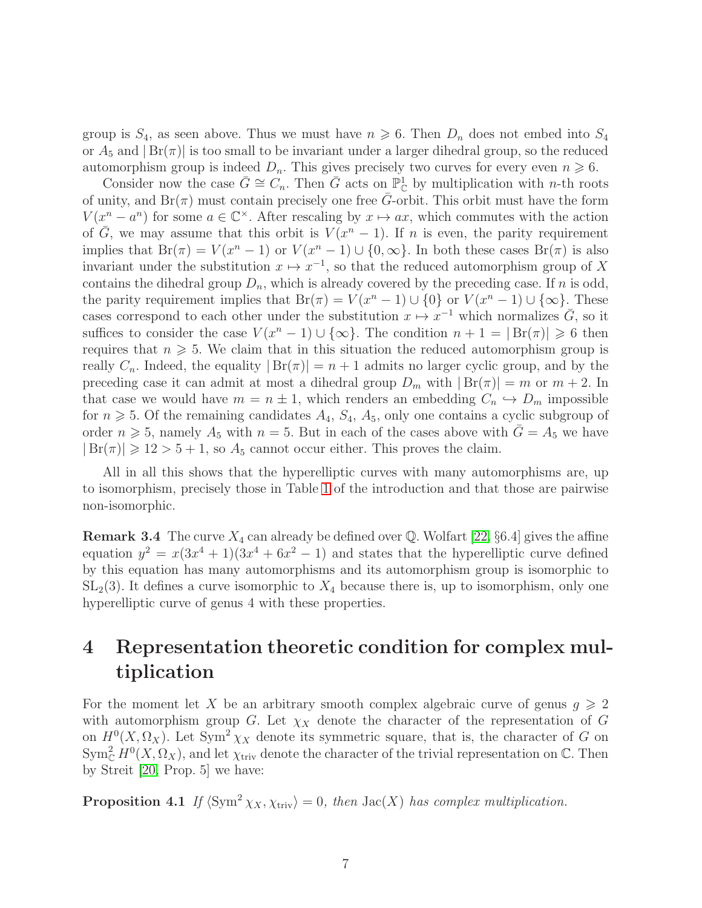group is  $S_4$ , as seen above. Thus we must have  $n \geq 6$ . Then  $D_n$  does not embed into  $S_4$ or  $A_5$  and  $|Br(\pi)|$  is too small to be invariant under a larger dihedral group, so the reduced automorphism group is indeed  $D_n$ . This gives precisely two curves for every even  $n \geq 6$ .

Consider now the case  $\bar{G} \cong C_n$ . Then  $\bar{G}$  acts on  $\mathbb{P}^1_{\mathbb{C}}$  by multiplication with *n*-th roots of unity, and  $Br(\pi)$  must contain precisely one free G-orbit. This orbit must have the form  $V(x^n - a^n)$  for some  $a \in \mathbb{C}^\times$ . After rescaling by  $x \mapsto ax$ , which commutes with the action of  $\overline{G}$ , we may assume that this orbit is  $V(x^n - 1)$ . If n is even, the parity requirement implies that  $Br(\pi) = V(x^n - 1)$  or  $V(x^n - 1) \cup \{0, \infty\}$ . In both these cases  $Br(\pi)$  is also invariant under the substitution  $x \mapsto x^{-1}$ , so that the reduced automorphism group of X contains the dihedral group  $D_n$ , which is already covered by the preceding case. If n is odd, the parity requirement implies that  $Br(\pi) = V(x^n - 1) \cup \{0\}$  or  $V(x^n - 1) \cup \{\infty\}$ . These cases correspond to each other under the substitution  $x \mapsto x^{-1}$  which normalizes  $\overline{G}$ , so it suffices to consider the case  $V(x^{n}-1) \cup \{\infty\}$ . The condition  $n+1 = |Br(\pi)| \geq 6$  then requires that  $n \geqslant 5$ . We claim that in this situation the reduced automorphism group is really  $C_n$ . Indeed, the equality  $|Br(\pi)| = n + 1$  admits no larger cyclic group, and by the preceding case it can admit at most a dihedral group  $D_m$  with  $|Br(\pi)| = m$  or  $m + 2$ . In that case we would have  $m = n \pm 1$ , which renders an embedding  $C_n \hookrightarrow D_m$  impossible for  $n \geq 5$ . Of the remaining candidates  $A_4$ ,  $S_4$ ,  $A_5$ , only one contains a cyclic subgroup of order  $n \geq 5$ , namely  $A_5$  with  $n = 5$ . But in each of the cases above with  $G = A_5$  we have  $|Br(\pi)| \ge 12 > 5 + 1$ , so  $A_5$  cannot occur either. This proves the claim.

All in all this shows that the hyperelliptic curves with many automorphisms are, up to isomorphism, precisely those in Table [1](#page-2-0) of the introduction and that those are pairwise non-isomorphic.

**Remark 3.4** The curve  $X_4$  can already be defined over Q. Wolfart [\[22,](#page-16-3) §6.4] gives the affine equation  $y^2 = x(3x^4 + 1)(3x^4 + 6x^2 - 1)$  and states that the hyperelliptic curve defined by this equation has many automorphisms and its automorphism group is isomorphic to  $SL<sub>2</sub>(3)$ . It defines a curve isomorphic to  $X<sub>4</sub>$  because there is, up to isomorphism, only one hyperelliptic curve of genus 4 with these properties.

## 4 Representation theoretic condition for complex multiplication

For the moment let X be an arbitrary smooth complex algebraic curve of genus  $g \geqslant 2$ with automorphism group G. Let  $\chi_X$  denote the character of the representation of G on  $H^0(X, \Omega_X)$ . Let Sym<sup>2</sup>  $\chi_X$  denote its symmetric square, that is, the character of G on  $\text{Sym}_{\mathbb{C}}^2 H^0(X, \Omega_X)$ , and let  $\chi_{\text{triv}}$  denote the character of the trivial representation on  $\mathbb{C}$ . Then by Streit [\[20,](#page-16-5) Prop. 5] we have:

<span id="page-6-0"></span>**Proposition 4.1** If  $\langle Sym^2 \chi_X, \chi_{triv} \rangle = 0$ , then Jac(X) has complex multiplication.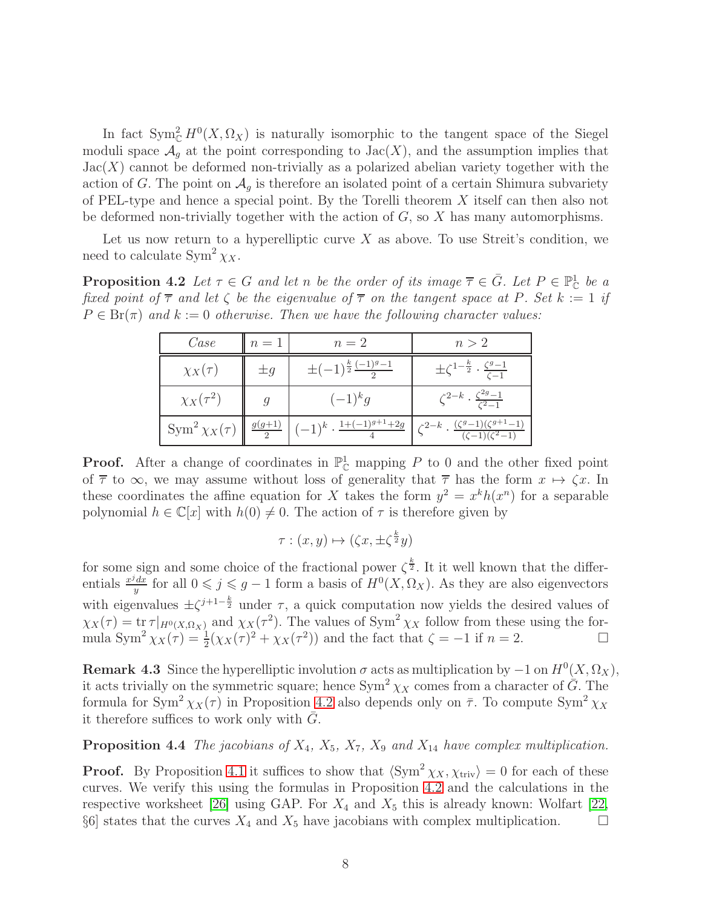In fact  $\text{Sym}_{\mathbb{C}}^2 H^0(X, \Omega_X)$  is naturally isomorphic to the tangent space of the Siegel moduli space  $\mathcal{A}_q$  at the point corresponding to Jac(X), and the assumption implies that  $Jac(X)$  cannot be deformed non-trivially as a polarized abelian variety together with the action of G. The point on  $\mathcal{A}_g$  is therefore an isolated point of a certain Shimura subvariety of PEL-type and hence a special point. By the Torelli theorem X itself can then also not be deformed non-trivially together with the action of  $G$ , so  $X$  has many automorphisms.

<span id="page-7-0"></span>Let us now return to a hyperelliptic curve  $X$  as above. To use Streit's condition, we need to calculate  $\text{Sym}^2 \chi_X$ .

**Proposition 4.2** Let  $\tau \in G$  and let n be the order of its image  $\overline{\tau} \in \overline{G}$ . Let  $P \in \mathbb{P}_{\mathbb{C}}^1$  be a fixed point of  $\overline{\tau}$  and let  $\zeta$  be the eigenvalue of  $\overline{\tau}$  on the tangent space at P. Set k := 1 if  $P \in Br(\pi)$  and  $k := 0$  otherwise. Then we have the following character values:

| Case                                | $n=1$    | $n=2$                                        | n > 2                                                                                                 |
|-------------------------------------|----------|----------------------------------------------|-------------------------------------------------------------------------------------------------------|
| $\chi_X(\tau)$                      | $\pm q$  | $\pm(-1)^{\frac{k}{2}}\frac{(-1)^{g}-1}{2}$  | $\pm \zeta^{1-\frac{k}{2}} \cdot \frac{\zeta^g-1}{\zeta-1}$                                           |
| $\chi_X(\tau^2)$                    |          | $(-1)^k g$                                   | $\zeta^{2-k} \cdot \frac{\zeta^{2g}-1}{\zeta^2-1}$                                                    |
| $\operatorname{Sym}^2 \chi_X(\tau)$ | $g(g+1)$ | $(-1)^k \cdot \frac{1+(-1)^{g+1}+2g}{\cdot}$ | $\zeta^{2-k}$ . $\frac{(\zeta^g-1)(\zeta^{g+1}-1)}{(\zeta^g-1)(\zeta^g-1)}$<br>$(\zeta-1)(\zeta^2-1)$ |

**Proof.** After a change of coordinates in  $\mathbb{P}_{\mathbb{C}}^1$  mapping P to 0 and the other fixed point of  $\overline{\tau}$  to  $\infty$ , we may assume without loss of generality that  $\overline{\tau}$  has the form  $x \mapsto \zeta x$ . In these coordinates the affine equation for X takes the form  $y^2 = x^k h(x^n)$  for a separable polynomial  $h \in \mathbb{C}[x]$  with  $h(0) \neq 0$ . The action of  $\tau$  is therefore given by

$$
\tau : (x, y) \mapsto (\zeta x, \pm \zeta^{\frac{k}{2}}y)
$$

for some sign and some choice of the fractional power  $\zeta^{\frac{k}{2}}$ . It it well known that the differentials  $\frac{x^j dx}{y}$  $y \frac{dx}{y}$  for all 0 ≤  $j$  ≤  $g-1$  form a basis of  $H^0(X, \Omega_X)$ . As they are also eigenvectors with eigenvalues  $\pm \zeta^{j+1-\frac{k}{2}}$  under  $\tau$ , a quick computation now yields the desired values of  $\chi_X(\tau) = \text{tr} \tau |_{H^0(X, \Omega_X)}$  and  $\chi_X(\tau^2)$ . The values of Sym<sup>2</sup>  $\chi_X$  follow from these using the formula Sym<sup>2</sup>  $\chi_X(\tau) = \frac{1}{2}(\chi_X(\tau)^2 + \chi_X(\tau^2))$  and the fact that  $\zeta = -1$  if  $n = 2$ .

**Remark 4.3** Since the hyperelliptic involution  $\sigma$  acts as multiplication by  $-1$  on  $H^0(X, \Omega_X)$ , it acts trivially on the symmetric square; hence  $\text{Sym}^2 \chi_X$  comes from a character of  $\overline{G}$ . The formula for Sym<sup>2</sup>  $\chi_X(\tau)$  in Proposition [4.2](#page-7-0) also depends only on  $\bar{\tau}$ . To compute Sym<sup>2</sup>  $\chi_X$ it therefore suffices to work only with  $G$ .

### **Proposition 4.4** The jacobians of  $X_4$ ,  $X_5$ ,  $X_7$ ,  $X_9$  and  $X_{14}$  have complex multiplication.

**Proof.** By Proposition [4.1](#page-6-0) it suffices to show that  $\langle Sym^2 \chi_X, \chi_{\text{triv}} \rangle = 0$  for each of these curves. We verify this using the formulas in Proposition [4.2](#page-7-0) and the calculations in the respective worksheet [\[26\]](#page-16-8) using GAP. For  $X_4$  and  $X_5$  this is already known: Wolfart [\[22,](#page-16-3) §6] states that the curves  $X_4$  and  $X_5$  have jacobians with complex multiplication.  $\Box$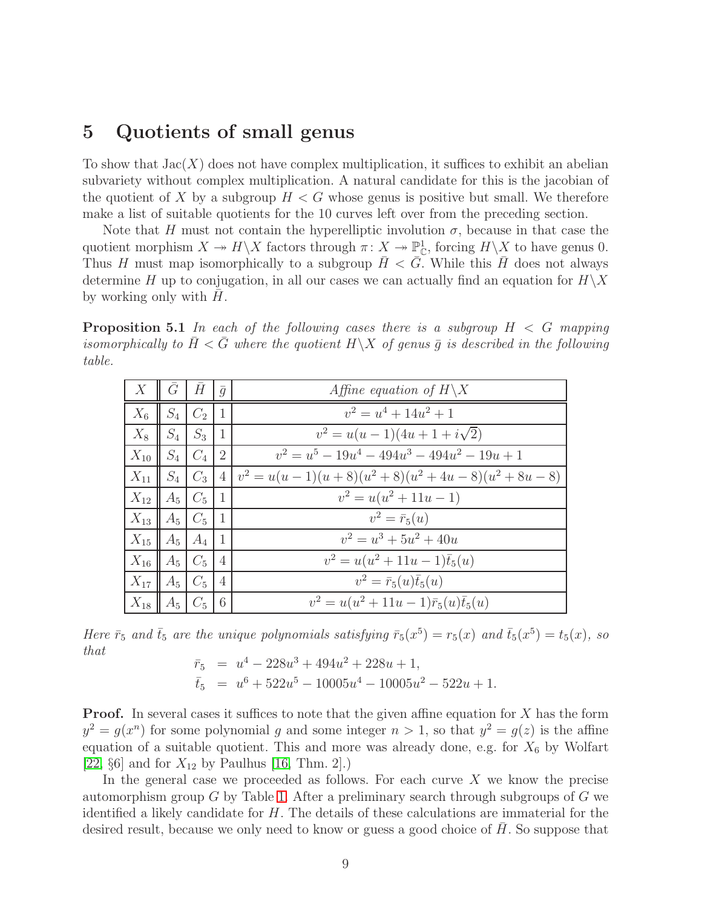## 5 Quotients of small genus

To show that  $Jac(X)$  does not have complex multiplication, it suffices to exhibit an abelian subvariety without complex multiplication. A natural candidate for this is the jacobian of the quotient of X by a subgroup  $H < G$  whose genus is positive but small. We therefore make a list of suitable quotients for the 10 curves left over from the preceding section.

Note that H must not contain the hyperelliptic involution  $\sigma$ , because in that case the quotient morphism  $X \to H\backslash X$  factors through  $\pi: X \to \mathbb{P}^1_{\mathbb{C}}$ , forcing  $H\backslash X$  to have genus 0. Thus H must map isomorphically to a subgroup  $H < G$ . While this H does not always determine H up to conjugation, in all our cases we can actually find an equation for  $H\backslash X$ by working only with  $H$ .

<span id="page-8-0"></span>**Proposition 5.1** In each of the following cases there is a subgroup  $H < G$  mapping isomorphically to  $\bar{H} < \bar{G}$  where the quotient  $H \backslash X$  of genus  $\bar{q}$  is described in the following table.

| X        | $\overline{G}$   $\overline{H}$ |         | $\overline{g}$ | Affine equation of $H \backslash X$              |
|----------|---------------------------------|---------|----------------|--------------------------------------------------|
| $X_6$    | $S_4$                           | $C_2$   | $\vert$ 1      | $v^2 = u^4 + 14u^2 + 1$                          |
| $X_8$    | $S_4$ $S_3$                     |         | $\mathbf{1}$   | $v^2 = u(u-1)(4u+1+i\sqrt{2})$                   |
| $X_{10}$ | $\parallel S_4 \parallel$       | $ C_4 $ | <sup>2</sup>   | $v^2 = u^5 - 19u^4 - 494u^3 - 494u^2 - 19u + 1$  |
| $X_{11}$ | $S_4$ $C_3$                     |         | $\overline{4}$ | $v^2 = u(u-1)(u+8)(u^2+8)(u^2+4u-8)(u^2+8u-8)$   |
| $X_{12}$ | $A_5$                           | $C_5$   | $\mathbf{1}$   | $v^2 = u(u^2 + 11u - 1)$                         |
| $X_{13}$ | $A_5 \mid C_5 \mid$             |         | -1             | $v^2 = \bar{r}_5(u)$                             |
| $X_{15}$ | $A_5$                           | $A_4$   | $\overline{1}$ | $v^2 = u^3 + 5u^2 + 40u$                         |
| $X_{16}$ | $A_5 \mid C_5$                  |         | $\overline{4}$ | $v^2 = u(u^2 + 11u - 1)\bar{t}_5(u)$             |
| $X_{17}$ | $A_5$                           | $C_5$   | $\overline{4}$ | $v^2 = \bar{r}_5(u)\bar{t}_5(u)$                 |
| $X_{18}$ | $A_5$                           | $C_5$   | 6              | $v^2 = u(u^2 + 11u - 1)\bar{r}_5(u)\bar{t}_5(u)$ |

Here  $\bar{r}_5$  and  $\bar{t}_5$  are the unique polynomials satisfying  $\bar{r}_5(x^5) = r_5(x)$  and  $\bar{t}_5(x^5) = t_5(x)$ , so that

$$
\begin{aligned}\n\bar{r}_5 &= u^4 - 228u^3 + 494u^2 + 228u + 1, \\
\bar{t}_5 &= u^6 + 522u^5 - 10005u^4 - 10005u^2 - 522u + 1.\n\end{aligned}
$$

**Proof.** In several cases it suffices to note that the given affine equation for X has the form  $y^2 = g(x^n)$  for some polynomial g and some integer  $n > 1$ , so that  $y^2 = g(z)$  is the affine equation of a suitable quotient. This and more was already done, e.g. for  $X_6$  by Wolfart [\[22,](#page-16-3)  $\S6$ ] and for  $X_{12}$  by Paulhus [\[16,](#page-16-10) Thm. 2].)

In the general case we proceeded as follows. For each curve  $X$  we know the precise automorphism group  $G$  by Table [1.](#page-2-0) After a preliminary search through subgroups of  $G$  we identified a likely candidate for  $H$ . The details of these calculations are immaterial for the desired result, because we only need to know or guess a good choice of  $H$ . So suppose that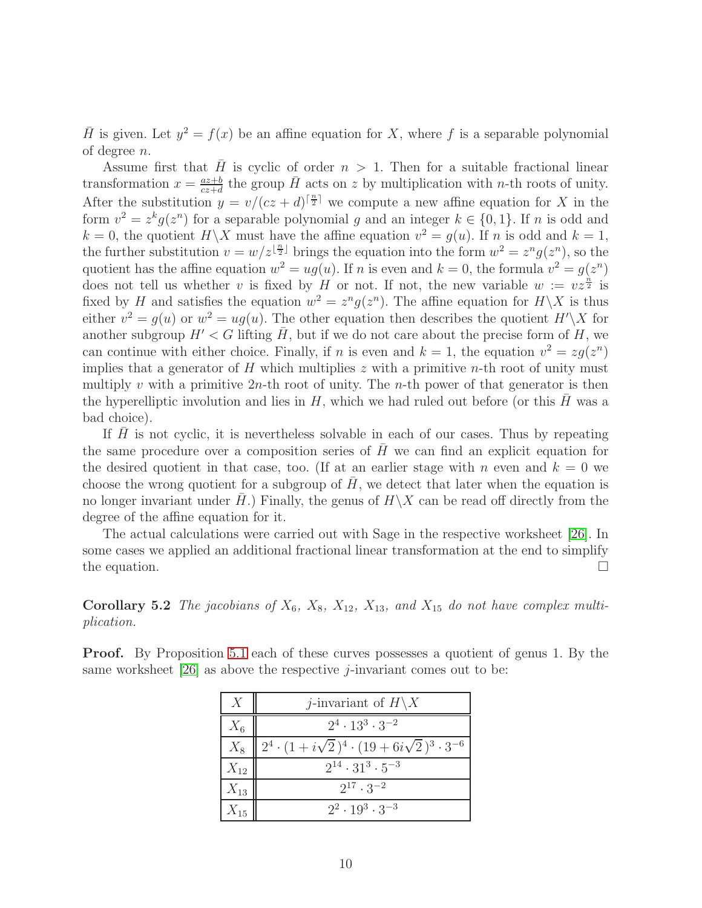$\overline{H}$  is given. Let  $y^2 = f(x)$  be an affine equation for X, where f is a separable polynomial of degree n.

Assume first that  $\bar{H}$  is cyclic of order  $n > 1$ . Then for a suitable fractional linear transformation  $x = \frac{az+b}{cz+d}$  $\frac{az+b}{cz+d}$  the group  $\bar{H}$  acts on z by multiplication with n-th roots of unity. After the substitution  $y = v/(cz + d)^{\lceil \frac{n}{2} \rceil}$  we compute a new affine equation for X in the form  $v^2 = z^k g(z^n)$  for a separable polynomial g and an integer  $k \in \{0, 1\}$ . If n is odd and  $k = 0$ , the quotient  $H \backslash X$  must have the affine equation  $v^2 = g(u)$ . If n is odd and  $k = 1$ , the further substitution  $v = w/z^{\lfloor \frac{n}{2} \rfloor}$  brings the equation into the form  $w^2 = z^n g(z^n)$ , so the quotient has the affine equation  $w^2 = ug(u)$ . If n is even and  $k = 0$ , the formula  $v^2 = g(z^n)$ does not tell us whether v is fixed by H or not. If not, the new variable  $w := vz^{\frac{n}{2}}$  is fixed by H and satisfies the equation  $w^2 = z^n g(z^n)$ . The affine equation for  $H \backslash X$  is thus either  $v^2 = g(u)$  or  $w^2 = ug(u)$ . The other equation then describes the quotient  $H' \backslash X$  for another subgroup  $H' < G$  lifting  $\overline{H}$ , but if we do not care about the precise form of H, we can continue with either choice. Finally, if *n* is even and  $k = 1$ , the equation  $v^2 = zg(z^n)$ implies that a generator of  $H$  which multiplies  $z$  with a primitive *n*-th root of unity must multiply v with a primitive  $2n$ -th root of unity. The n-th power of that generator is then the hyperelliptic involution and lies in  $H$ , which we had ruled out before (or this  $H$  was a bad choice).

If  $H$  is not cyclic, it is nevertheless solvable in each of our cases. Thus by repeating the same procedure over a composition series of  $H$  we can find an explicit equation for the desired quotient in that case, too. (If at an earlier stage with n even and  $k = 0$  we choose the wrong quotient for a subgroup of  $H$ , we detect that later when the equation is no longer invariant under H.) Finally, the genus of  $H\X$  can be read off directly from the degree of the affine equation for it.

The actual calculations were carried out with Sage in the respective worksheet [\[26\]](#page-16-8). In some cases we applied an additional fractional linear transformation at the end to simplify the equation.  $\Box$ 

Corollary 5.2 The jacobians of  $X_6$ ,  $X_8$ ,  $X_{12}$ ,  $X_{13}$ , and  $X_{15}$  do not have complex multiplication.

Proof. By Proposition [5.1](#page-8-0) each of these curves possesses a quotient of genus 1. By the same worksheet  $[26]$  as above the respective *j*-invariant comes out to be:

| $\chi$   | <i>j</i> -invariant of $H\backslash X$                               |
|----------|----------------------------------------------------------------------|
| $X_6$    | $2^4 \cdot 13^3 \cdot 3^{-2}$                                        |
| $X_8$    | $2^4 \cdot (1 + i\sqrt{2})^4 \cdot (19 + 6i\sqrt{2})^3 \cdot 3^{-6}$ |
| $X_{12}$ | $2^{14} \cdot 31^3 \cdot 5^{-3}$                                     |
| $X_{13}$ | $2^{17} \cdot 3^{-2}$                                                |
| $X_{15}$ | $2^2 \cdot 19^3 \cdot 3^{-3}$                                        |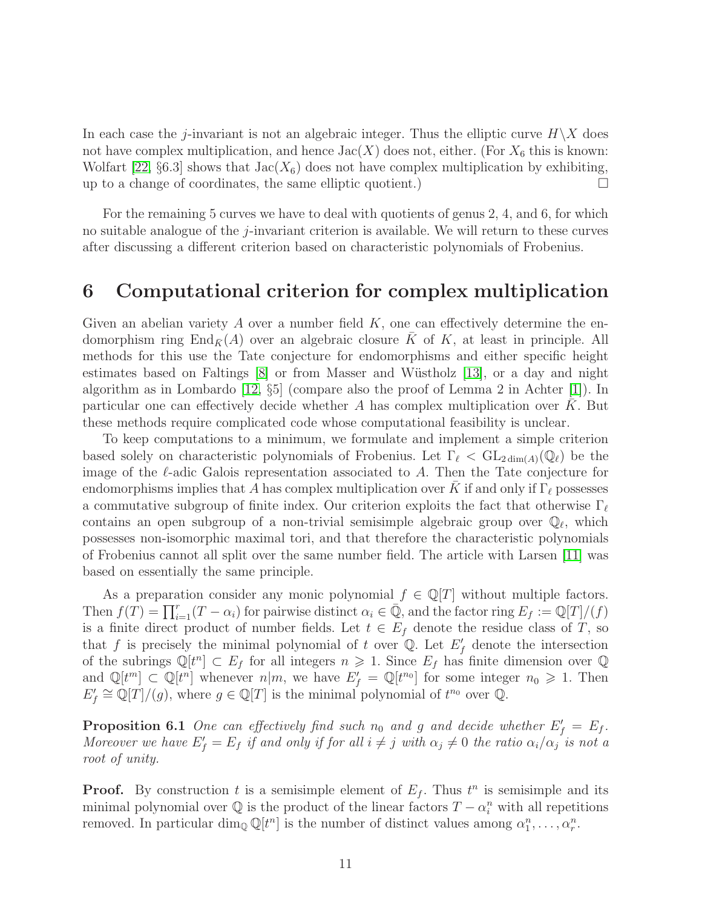In each case the j-invariant is not an algebraic integer. Thus the elliptic curve  $H\backslash X$  does not have complex multiplication, and hence  $Jac(X)$  does not, either. (For  $X_6$  this is known: Wolfart [\[22,](#page-16-3) §6.3] shows that  $Jac(X_6)$  does not have complex multiplication by exhibiting, up to a change of coordinates, the same elliptic quotient. up to a change of coordinates, the same elliptic quotient.)

For the remaining 5 curves we have to deal with quotients of genus 2, 4, and 6, for which no suitable analogue of the j-invariant criterion is available. We will return to these curves after discussing a different criterion based on characteristic polynomials of Frobenius.

### 6 Computational criterion for complex multiplication

Given an abelian variety A over a number field  $K$ , one can effectively determine the endomorphism ring End<sub> $\bar{K}(A)$ </sub> over an algebraic closure  $\bar{K}$  of K, at least in principle. All methods for this use the Tate conjecture for endomorphisms and either specific height estimates based on Faltings  $[8]$  or from Masser and Wüstholz  $[13]$ , or a day and night algorithm as in Lombardo [\[12,](#page-15-8) §5] (compare also the proof of Lemma 2 in Achter [\[1\]](#page-15-9)). In particular one can effectively decide whether A has complex multiplication over  $K$ . But these methods require complicated code whose computational feasibility is unclear.

To keep computations to a minimum, we formulate and implement a simple criterion based solely on characteristic polynomials of Frobenius. Let  $\Gamma_\ell < GL_{2dim(A)}(\mathbb{Q}_\ell)$  be the image of the  $\ell$ -adic Galois representation associated to A. Then the Tate conjecture for endomorphisms implies that A has complex multiplication over K if and only if  $\Gamma_\ell$  possesses a commutative subgroup of finite index. Our criterion exploits the fact that otherwise  $\Gamma_\ell$ contains an open subgroup of a non-trivial semisimple algebraic group over  $\mathbb{Q}_{\ell}$ , which possesses non-isomorphic maximal tori, and that therefore the characteristic polynomials of Frobenius cannot all split over the same number field. The article with Larsen [\[11\]](#page-15-10) was based on essentially the same principle.

As a preparation consider any monic polynomial  $f \in \mathbb{Q}[T]$  without multiple factors. Then  $f(T) = \prod_{i=1}^{r} (T - \alpha_i)$  for pairwise distinct  $\alpha_i \in \overline{\mathbb{Q}}$ , and the factor ring  $E_f := \mathbb{Q}[T]/(f)$ is a finite direct product of number fields. Let  $t \in E_f$  denote the residue class of T, so that f is precisely the minimal polynomial of t over  $\mathbb{Q}$ . Let  $E'_{f}$  denote the intersection of the subrings  $\mathbb{Q}[t^n] \subset E_f$  for all integers  $n \geq 1$ . Since  $E_f$  has finite dimension over  $\mathbb{Q}$ and  $\mathbb{Q}[t^m] \subset \mathbb{Q}[t^n]$  whenever  $n|m$ , we have  $E'_f = \mathbb{Q}[t^{n_0}]$  for some integer  $n_0 \geq 1$ . Then  $E'_f \cong \mathbb{Q}[T]/(g)$ , where  $g \in \mathbb{Q}[T]$  is the minimal polynomial of  $t^{n_0}$  over  $\mathbb{Q}$ .

<span id="page-10-0"></span>**Proposition 6.1** One can effectively find such  $n_0$  and g and decide whether  $E'_f = E_f$ . Moreover we have  $E'_f = E_f$  if and only if for all  $i \neq j$  with  $\alpha_j \neq 0$  the ratio  $\alpha_i/\alpha_j$  is not a root of unity.

**Proof.** By construction t is a semisimple element of  $E_f$ . Thus  $t^n$  is semisimple and its minimal polynomial over  $\mathbb Q$  is the product of the linear factors  $T - \alpha_i^n$  with all repetitions removed. In particular  $\dim_{\mathbb{Q}} \mathbb{Q}[t^n]$  is the number of distinct values among  $\alpha_1^n, \ldots, \alpha_r^n$ .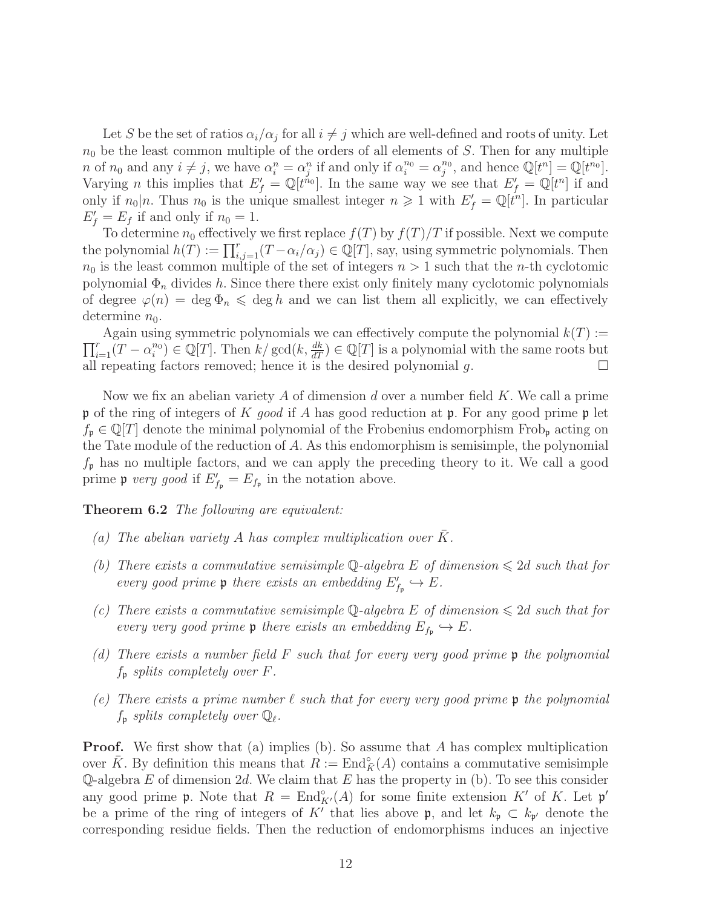Let S be the set of ratios  $\alpha_i/\alpha_j$  for all  $i \neq j$  which are well-defined and roots of unity. Let  $n_0$  be the least common multiple of the orders of all elements of S. Then for any multiple n of  $n_0$  and any  $i \neq j$ , we have  $\alpha_i^n = \alpha_j^n$  if and only if  $\alpha_i^{n_0} = \alpha_j^{n_0}$ , and hence  $\mathbb{Q}[t^n] = \mathbb{Q}[t^{n_0}]$ . Varying *n* this implies that  $E'_f = \mathbb{Q}[t^{n_0}]$ . In the same way we see that  $E'_f = \mathbb{Q}[t^n]$  if and only if  $n_0|n$ . Thus  $n_0$  is the unique smallest integer  $n \geq 1$  with  $E'_f = \mathbb{Q}[t^n]$ . In particular  $E'_f = E_f$  if and only if  $n_0 = 1$ .

To determine  $n_0$  effectively we first replace  $f(T)$  by  $f(T)/T$  if possible. Next we compute the polynomial  $h(T) := \prod_{i,j=1}^r (T - \alpha_i/\alpha_j) \in \mathbb{Q}[T]$ , say, using symmetric polynomials. Then  $n_0$  is the least common multiple of the set of integers  $n > 1$  such that the *n*-th cyclotomic polynomial  $\Phi_n$  divides h. Since there there exist only finitely many cyclotomic polynomials of degree  $\varphi(n) = \deg \Phi_n \leq \deg h$  and we can list them all explicitly, we can effectively determine  $n_0$ .

 $\prod_{i=1}^r(T-\alpha_i^{n_0}) \in \mathbb{Q}[T]$ . Then  $k/\gcd(k,\frac{dk}{dT}) \in \mathbb{Q}[T]$  is a polynomial with the same roots but Again using symmetric polynomials we can effectively compute the polynomial  $k(T) :=$ all repeating factors removed; hence it is the desired polynomial  $g$ .

Now we fix an abelian variety A of dimension d over a number field K. We call a prime p of the ring of integers of K good if A has good reduction at p. For any good prime p let  $f_{\mathfrak{p}} \in \mathbb{Q}[T]$  denote the minimal polynomial of the Frobenius endomorphism Frob<sub>p</sub> acting on the Tate module of the reduction of A. As this endomorphism is semisimple, the polynomial  $f_{\mathfrak{p}}$  has no multiple factors, and we can apply the preceding theory to it. We call a good prime **p** very good if  $E'_{f_p} = E_{f_p}$  in the notation above.

<span id="page-11-0"></span>Theorem 6.2 The following are equivalent:

- (a) The abelian variety A has complex multiplication over  $K$ .
- (b) There exists a commutative semisimple Q-algebra E of dimension  $\leq 2d$  such that for every good prime  $\mathfrak p$  there exists an embedding  $E'_{f_{\mathfrak p}} \hookrightarrow E$ .
- (c) There exists a commutative semisimple Q-algebra E of dimension  $\leq 2d$  such that for every very good prime  $\mathfrak p$  there exists an embedding  $E_{f_{\mathfrak p}} \hookrightarrow E$ .
- (d) There exists a number field  $F$  such that for every very good prime  $\mathfrak p$  the polynomial  $f_{\mathfrak{p}}$  splits completely over F.
- (e) There exists a prime number  $\ell$  such that for every very good prime  $\mathfrak p$  the polynomial  $f_{\mathfrak{p}}$  splits completely over  $\mathbb{Q}_{\ell}$ .

**Proof.** We first show that (a) implies (b). So assume that A has complex multiplication over  $\bar{K}$ . By definition this means that  $R := \text{End}_{\bar{K}}^{\circ}(A)$  contains a commutative semisimple Q-algebra E of dimension 2d. We claim that E has the property in (b). To see this consider any good prime  $\mathfrak p$ . Note that  $R = \text{End}_{K'}^{\circ}(A)$  for some finite extension K' of K. Let  $\mathfrak p'$ be a prime of the ring of integers of K' that lies above  $\mathfrak{p}$ , and let  $k_{\mathfrak{p}} \subset k_{\mathfrak{p}}$ ' denote the corresponding residue fields. Then the reduction of endomorphisms induces an injective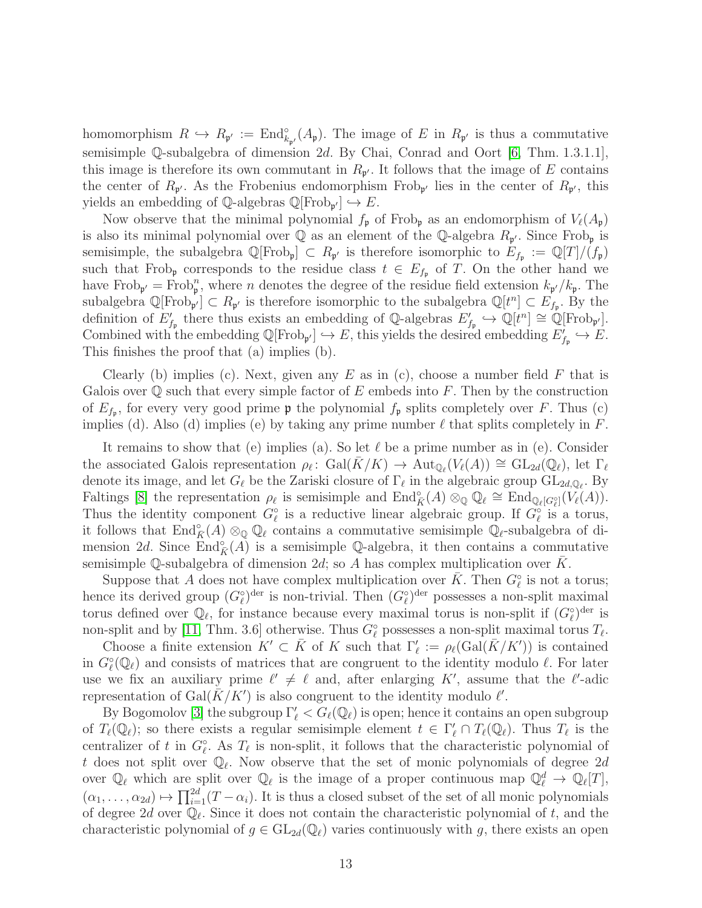homomorphism  $R \hookrightarrow R_{\mathfrak{p}'} := \text{End}^{\circ}_{k_{\mathfrak{p}'}}(A_{\mathfrak{p}})$ . The image of E in  $R_{\mathfrak{p}'}$  is thus a commutative semisimple Q-subalgebra of dimension 2d. By Chai, Conrad and Oort [\[6,](#page-15-0) Thm. 1.3.1.1], this image is therefore its own commutant in  $R_{p'}$ . It follows that the image of E contains the center of  $R_{p'}$ . As the Frobenius endomorphism Frob<sub>p'</sub> lies in the center of  $R_{p'}$ , this yields an embedding of  $\mathbb{Q}$ -algebras  $\mathbb{Q}[\text{Frob}_{\mathfrak{p}'}] \hookrightarrow E$ .

Now observe that the minimal polynomial  $f_{\mathfrak{p}}$  of Frob<sub>p</sub> as an endomorphism of  $V_{\ell}(A_{\mathfrak{p}})$ is also its minimal polynomial over  $\mathbb Q$  as an element of the  $\mathbb Q$ -algebra  $R_{\mathfrak{p}'}$ . Since Frob<sub>p</sub> is semisimple, the subalgebra  $\mathbb{Q}[\text{Frob}_{\mathfrak{p}}] \subset R_{\mathfrak{p}'}$  is therefore isomorphic to  $E_{f_{\mathfrak{p}}} := \mathbb{Q}[T]/(f_{\mathfrak{p}})$ such that Frob<sub>p</sub> corresponds to the residue class  $t \in E_{f_p}$  of T. On the other hand we have Frob<sub>p'</sub> = Frob<sub>p</sub><sup>n</sup>, where *n* denotes the degree of the residue field extension  $k_{p'}/k_p$ . The subalgebra  $\mathbb{Q}[\text{Frob}_{\mathfrak{p}'}] \subset R_{\mathfrak{p}'}$  is therefore isomorphic to the subalgebra  $\mathbb{Q}[t^n] \subset E_{f_{\mathfrak{p}}}$ . By the definition of  $E'_{f_p}$  there thus exists an embedding of Q-algebras  $E'_{f_p} \hookrightarrow \mathbb{Q}[t^n] \cong \mathbb{Q}[\text{Frob}_{p'}].$ Combined with the embedding  $\mathbb{Q}[\text{Frob}_{\mathfrak{p}'}] \hookrightarrow E$ , this yields the desired embedding  $E'_{f_{\mathfrak{p}}} \hookrightarrow E$ . This finishes the proof that (a) implies (b).

Clearly (b) implies (c). Next, given any E as in (c), choose a number field F that is Galois over  $\mathbb Q$  such that every simple factor of E embeds into F. Then by the construction of  $E_{f_{\mathfrak{p}}}$ , for every very good prime  $\mathfrak{p}$  the polynomial  $f_{\mathfrak{p}}$  splits completely over F. Thus (c) implies (d). Also (d) implies (e) by taking any prime number  $\ell$  that splits completely in F.

It remains to show that (e) implies (a). So let  $\ell$  be a prime number as in (e). Consider the associated Galois representation  $\rho_{\ell} \colon \text{Gal}(\bar{K}/K) \to \text{Aut}_{\mathbb{Q}_{\ell}}(V_{\ell}(A)) \cong \text{GL}_{2d}(\mathbb{Q}_{\ell}),$  let  $\Gamma_{\ell}$ denote its image, and let  $G_{\ell}$  be the Zariski closure of  $\Gamma_{\ell}$  in the algebraic group  $GL_{2d,\mathbb{Q}_{\ell}}$ . By Faltings [\[8\]](#page-15-6) the representation  $\rho_{\ell}$  is semisimple and  $\text{End}_{\tilde{K}}^{\circ}(A) \otimes_{\mathbb{Q}} \mathbb{Q}_{\ell} \cong \text{End}_{\mathbb{Q}_{\ell}[G_{\ell}^{\circ}]}(V_{\ell}(A)).$ Thus the identity component  $G_{\ell}^{\circ}$  is a reductive linear algebraic group. If  $G_{\ell}^{\circ}$  is a torus, it follows that  $\text{End}_{\tilde{K}}^{\circ}(A) \otimes_{\mathbb{Q}} \mathbb{Q}_{\ell}$  contains a commutative semisimple  $\mathbb{Q}_{\ell}$ -subalgebra of dimension 2d. Since  $\text{End}_{\tilde{K}}^{\circ}(A)$  is a semisimple Q-algebra, it then contains a commutative semisimple Q-subalgebra of dimension  $2d$ ; so A has complex multiplication over K.

Suppose that A does not have complex multiplication over  $\overline{K}$ . Then  $G_{\ell}^{\circ}$  is not a torus; hence its derived group  $(G_{\ell}^{\circ})^{\text{der}}$  is non-trivial. Then  $(G_{\ell}^{\circ})^{\text{der}}$  possesses a non-split maximal torus defined over  $\mathbb{Q}_{\ell}$ , for instance because every maximal torus is non-split if  $(G_{\ell}^{\circ})^{\text{der}}$  is non-split and by [\[11,](#page-15-10) Thm. 3.6] otherwise. Thus  $G_{\ell}^{\circ}$  possesses a non-split maximal torus  $T_{\ell}$ .

Choose a finite extension  $K' \subset \overline{K}$  of K such that  $\Gamma'_{\ell} := \rho_{\ell}(\text{Gal}(\overline{K}/K'))$  is contained in  $G_{\ell}^{\circ}(\mathbb{Q}_{\ell})$  and consists of matrices that are congruent to the identity modulo  $\ell$ . For later use we fix an auxiliary prime  $\ell' \neq \ell$  and, after enlarging K', assume that the  $\ell'$ -adic representation of Gal $(\bar{K}/K')$  is also congruent to the identity modulo  $\ell'$ .

By Bogomolov [\[3\]](#page-15-11) the subgroup  $\Gamma'_\ell < G_\ell(\mathbb{Q}_\ell)$  is open; hence it contains an open subgroup of  $T_{\ell}(\mathbb{Q}_{\ell})$ ; so there exists a regular semisimple element  $t \in \Gamma'_{\ell} \cap T_{\ell}(\mathbb{Q}_{\ell})$ . Thus  $T_{\ell}$  is the centralizer of t in  $G_{\ell}^{\circ}$ . As  $T_{\ell}$  is non-split, it follows that the characteristic polynomial of t does not split over  $\mathbb{Q}_{\ell}$ . Now observe that the set of monic polynomials of degree  $2d$ over  $\mathbb{Q}_{\ell}$  which are split over  $\mathbb{Q}_{\ell}$  is the image of a proper continuous map  $\mathbb{Q}_{\ell}^{d} \to \mathbb{Q}_{\ell}[T]$ ,  $(\alpha_1, \ldots, \alpha_{2d}) \mapsto \prod_{i=1}^{2d} (T - \alpha_i)$ . It is thus a closed subset of the set of all monic polynomials of degree 2d over  $\mathbb{Q}_{\ell}$ . Since it does not contain the characteristic polynomial of t, and the characteristic polynomial of  $g \in GL_{2d}(\mathbb{Q}_\ell)$  varies continuously with g, there exists an open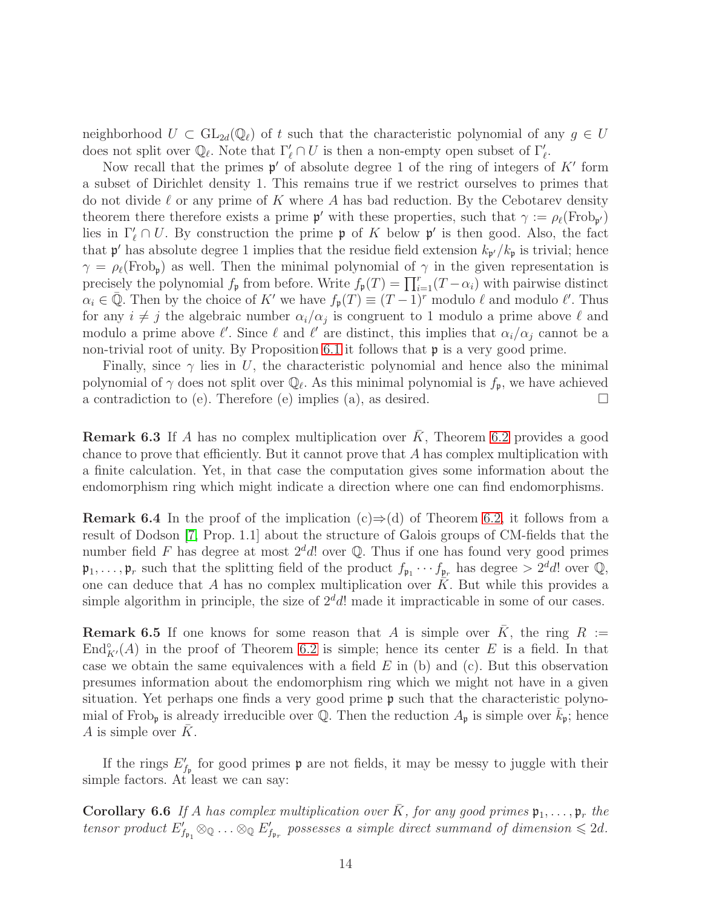neighborhood  $U \subset GL_{2d}(\mathbb{Q}_{\ell})$  of t such that the characteristic polynomial of any  $g \in U$ does not split over  $\mathbb{Q}_{\ell}$ . Note that  $\Gamma'_{\ell} \cap U$  is then a non-empty open subset of  $\Gamma'_{\ell}$ .

Now recall that the primes  $\mathfrak{p}'$  of absolute degree 1 of the ring of integers of  $K'$  form a subset of Dirichlet density 1. This remains true if we restrict ourselves to primes that do not divide  $\ell$  or any prime of K where A has bad reduction. By the Cebotarev density theorem there therefore exists a prime  $\mathfrak{p}'$  with these properties, such that  $\gamma := \rho_{\ell}(\text{Frob}_{\mathfrak{p}'})$ lies in  $\Gamma'_{\ell} \cap U$ . By construction the prime p of K below p' is then good. Also, the fact that  $\mathfrak{p}'$  has absolute degree 1 implies that the residue field extension  $k_{\mathfrak{p}'}/k_{\mathfrak{p}}$  is trivial; hence  $\gamma = \rho_{\ell}(\text{Frob}_{p})$  as well. Then the minimal polynomial of  $\gamma$  in the given representation is precisely the polynomial  $f_{\mathfrak{p}}$  from before. Write  $f_{\mathfrak{p}}(T) = \prod_{i=1}^{r} (T - \alpha_i)$  with pairwise distinct  $\alpha_i \in \overline{\mathbb{Q}}$ . Then by the choice of K' we have  $f_{\mathfrak{p}}(T) \equiv (T-1)^r$  modulo  $\ell$  and modulo  $\ell'$ . Thus for any  $i \neq j$  the algebraic number  $\alpha_i/\alpha_j$  is congruent to 1 modulo a prime above  $\ell$  and modulo a prime above  $\ell'$ . Since  $\ell$  and  $\ell'$  are distinct, this implies that  $\alpha_i/\alpha_j$  cannot be a non-trivial root of unity. By Proposition [6.1](#page-10-0) it follows that p is a very good prime.

Finally, since  $\gamma$  lies in U, the characteristic polynomial and hence also the minimal polynomial of  $\gamma$  does not split over  $\mathbb{Q}_{\ell}$ . As this minimal polynomial is  $f_{\mathfrak{p}}$ , we have achieved a contradiction to (e). Therefore (e) implies (a), as desired.  $\square$ 

**Remark 6.3** If A has no complex multiplication over  $\overline{K}$ , Theorem [6.2](#page-11-0) provides a good chance to prove that efficiently. But it cannot prove that  $A$  has complex multiplication with a finite calculation. Yet, in that case the computation gives some information about the endomorphism ring which might indicate a direction where one can find endomorphisms.

**Remark 6.4** In the proof of the implication (c) $\Rightarrow$ (d) of Theorem [6.2,](#page-11-0) it follows from a result of Dodson [\[7,](#page-15-12) Prop. 1.1] about the structure of Galois groups of CM-fields that the number field F has degree at most  $2^d d!$  over Q. Thus if one has found very good primes  $\mathfrak{p}_1,\ldots,\mathfrak{p}_r$  such that the splitting field of the product  $f_{\mathfrak{p}_1}\cdots f_{\mathfrak{p}_r}$  has degree  $> 2^d d!$  over  $\mathbb{Q}$ , one can deduce that A has no complex multiplication over  $\overline{K}$ . But while this provides a simple algorithm in principle, the size of  $2^d d!$  made it impracticable in some of our cases.

**Remark 6.5** If one knows for some reason that A is simple over  $\overline{K}$ , the ring  $R :=$ End $_{K'}^{\circ}(A)$  in the proof of Theorem [6.2](#page-11-0) is simple; hence its center E is a field. In that case we obtain the same equivalences with a field  $E$  in (b) and (c). But this observation presumes information about the endomorphism ring which we might not have in a given situation. Yet perhaps one finds a very good prime  $\mathfrak p$  such that the characteristic polynomial of Frob<sub>p</sub> is already irreducible over Q. Then the reduction  $A_p$  is simple over  $k_p$ ; hence A is simple over  $\bar{K}$ .

<span id="page-13-0"></span>If the rings  $E'_{f_{\mathfrak{p}}}$  for good primes  $\mathfrak p$  are not fields, it may be messy to juggle with their simple factors. At least we can say:

**Corollary 6.6** If A has complex multiplication over  $\bar{K}$ , for any good primes  $\mathfrak{p}_1, \ldots, \mathfrak{p}_r$  the tensor product  $E'_{f_{\mathfrak{p}_1}} \otimes_{\mathbb{Q}} \ldots \otimes_{\mathbb{Q}} E'_{f_{\mathfrak{p}_r}}$  possesses a simple direct summand of dimension  $\leq 2d$ .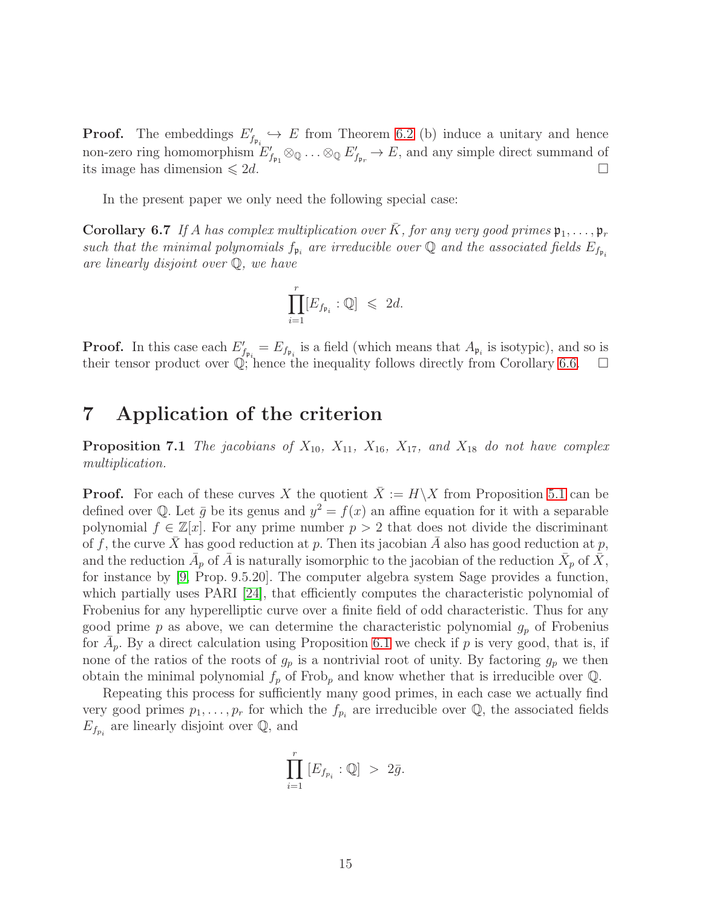**Proof.** The embeddings  $E'_{f_{\mathfrak{p}_i}} \hookrightarrow E$  from Theorem [6.2](#page-11-0) (b) induce a unitary and hence non-zero ring homomorphism  $E'_{f_{\mathfrak{p}_1}} \otimes_{\mathbb{Q}} \ldots \otimes_{\mathbb{Q}} E'_{f_{\mathfrak{p}_r}} \to E$ , and any simple direct summand of its image has dimension  $\leq 2d$ .

<span id="page-14-0"></span>In the present paper we only need the following special case:

**Corollary 6.7** If A has complex multiplication over  $\bar{K}$ , for any very good primes  $\mathfrak{p}_1, \ldots, \mathfrak{p}_r$ such that the minimal polynomials  $f_{\mathfrak{p}_i}$  are irreducible over Q and the associated fields  $E_{f_{\mathfrak{p}_i}}$ are linearly disjoint over Q, we have

$$
\prod_{i=1}^r [E_{f_{\mathfrak{p}_i}}:\mathbb{Q}]\ \leqslant\ 2d.
$$

**Proof.** In this case each  $E'_{f_{\mathfrak{p}_i}} = E_{f_{\mathfrak{p}_i}}$  is a field (which means that  $A_{\mathfrak{p}_i}$  is isotypic), and so is their tensor product over  $\mathbb{Q}$ ; hence the inequality follows directly from Corollary [6.6.](#page-13-0)  $\Box$ 

## 7 Application of the criterion

**Proposition 7.1** The jacobians of  $X_{10}$ ,  $X_{11}$ ,  $X_{16}$ ,  $X_{17}$ , and  $X_{18}$  do not have complex multiplication.

**Proof.** For each of these curves X the quotient  $\bar{X} := H\setminus X$  from Proposition [5.1](#page-8-0) can be defined over Q. Let  $\bar{g}$  be its genus and  $y^2 = f(x)$  an affine equation for it with a separable polynomial  $f \in \mathbb{Z}[x]$ . For any prime number  $p > 2$  that does not divide the discriminant of f, the curve X has good reduction at p. Then its jacobian A also has good reduction at p, and the reduction  $\bar{A}_p$  of  $\bar{A}$  is naturally isomorphic to the jacobian of the reduction  $\bar{X}_p$  of  $\bar{X}$ , for instance by [\[9,](#page-15-13) Prop. 9.5.20]. The computer algebra system Sage provides a function, which partially uses PARI [\[24\]](#page-16-11), that efficiently computes the characteristic polynomial of Frobenius for any hyperelliptic curve over a finite field of odd characteristic. Thus for any good prime p as above, we can determine the characteristic polynomial  $g_p$  of Frobenius for  $\bar{A}_p$ . By a direct calculation using Proposition [6.1](#page-10-0) we check if p is very good, that is, if none of the ratios of the roots of  $g_p$  is a nontrivial root of unity. By factoring  $g_p$  we then obtain the minimal polynomial  $f_p$  of Frob<sub>p</sub> and know whether that is irreducible over  $\mathbb{Q}$ .

Repeating this process for sufficiently many good primes, in each case we actually find very good primes  $p_1, \ldots, p_r$  for which the  $f_{p_i}$  are irreducible over Q, the associated fields  $E_{f_{p_i}}$  are linearly disjoint over  $\mathbb{Q}$ , and

$$
\prod_{i=1}^r [E_{f_{p_i}}:\mathbb{Q}] > 2\bar{g}.
$$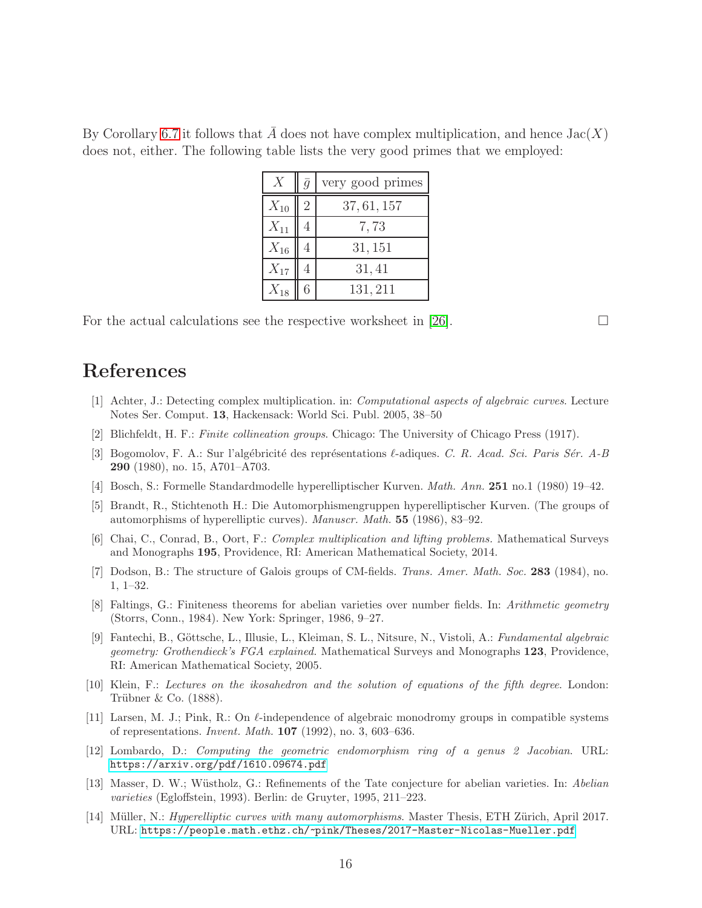By Corollary [6.7](#page-14-0) it follows that A does not have complex multiplication, and hence  $Jac(X)$ does not, either. The following table lists the very good primes that we employed:

| X        | $\bar{q}$      | very good primes |
|----------|----------------|------------------|
| $X_{10}$ | $\overline{2}$ | 37,61,157        |
| $X_{11}$ |                | 7,73             |
| $X_{16}$ |                | 31, 151          |
| $X_{17}$ |                | 31, 41           |
| $X_{18}$ |                | 131, 211         |

For the actual calculations see the respective worksheet in [\[26\]](#page-16-8).  $\Box$ 

## References

- <span id="page-15-9"></span>[1] Achter, J.: Detecting complex multiplication. in: *Computational aspects of algebraic curves*. Lecture Notes Ser. Comput. 13, Hackensack: World Sci. Publ. 2005, 38–50
- <span id="page-15-11"></span><span id="page-15-4"></span>[2] Blichfeldt, H. F.: *Finite collineation groups*. Chicago: The University of Chicago Press (1917).
- [3] Bogomolov, F. A.: Sur l'alg´ebricit´e des repr´esentations ℓ-adiques. *C. R. Acad. Sci. Paris S´er. A-B* 290 (1980), no. 15, A701–A703.
- <span id="page-15-5"></span><span id="page-15-1"></span>[4] Bosch, S.: Formelle Standardmodelle hyperelliptischer Kurven. *Math. Ann.* 251 no.1 (1980) 19–42.
- [5] Brandt, R., Stichtenoth H.: Die Automorphismengruppen hyperelliptischer Kurven. (The groups of automorphisms of hyperelliptic curves). *Manuscr. Math.* 55 (1986), 83–92.
- <span id="page-15-0"></span>[6] Chai, C., Conrad, B., Oort, F.: *Complex multiplication and lifting problems.* Mathematical Surveys and Monographs 195, Providence, RI: American Mathematical Society, 2014.
- <span id="page-15-12"></span>[7] Dodson, B.: The structure of Galois groups of CM-fields. *Trans. Amer. Math. Soc.* 283 (1984), no. 1, 1–32.
- <span id="page-15-6"></span>[8] Faltings, G.: Finiteness theorems for abelian varieties over number fields. In: *Arithmetic geometry* (Storrs, Conn., 1984). New York: Springer, 1986, 9–27.
- <span id="page-15-13"></span>[9] Fantechi, B., G¨ottsche, L., Illusie, L., Kleiman, S. L., Nitsure, N., Vistoli, A.: *Fundamental algebraic geometry: Grothendieck's FGA explained.* Mathematical Surveys and Monographs 123, Providence, RI: American Mathematical Society, 2005.
- <span id="page-15-3"></span>[10] Klein, F.: *Lectures on the ikosahedron and the solution of equations of the fifth degree*. London: Trübner  $& Co. (1888).$
- <span id="page-15-10"></span>[11] Larsen, M. J.; Pink, R.: On  $\ell$ -independence of algebraic monodromy groups in compatible systems of representations. *Invent. Math.* 107 (1992), no. 3, 603–636.
- <span id="page-15-8"></span>[12] Lombardo, D.: *Computing the geometric endomorphism ring of a genus 2 Jacobian*. URL: <https://arxiv.org/pdf/1610.09674.pdf>
- <span id="page-15-7"></span>[13] Masser, D. W.; W¨ustholz, G.: Refinements of the Tate conjecture for abelian varieties. In: *Abelian varieties* (Egloffstein, 1993). Berlin: de Gruyter, 1995, 211–223.
- <span id="page-15-2"></span>[14] M¨uller, N.: *Hyperelliptic curves with many automorphisms*. Master Thesis, ETH Z¨urich, April 2017. URL: <https://people.math.ethz.ch/~pink/Theses/2017-Master-Nicolas-Mueller.pdf>